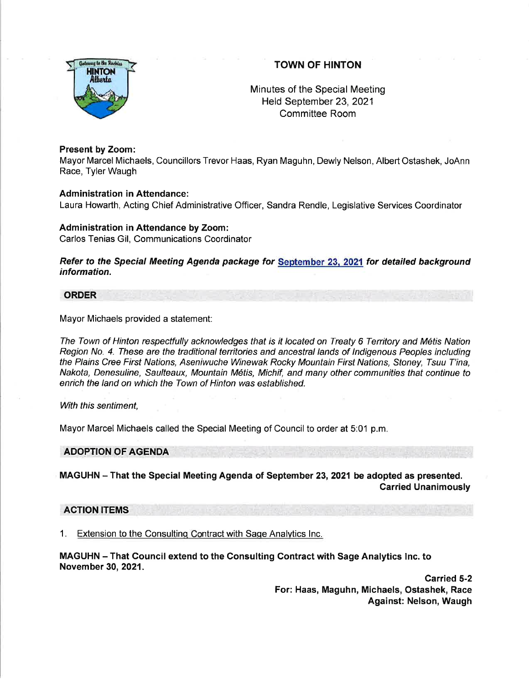

# TOWN OF HINTON

Minutes of the Special Meeting Held September 23,2021 Committee Room

### Present by Zoom:

Mayor Marcel Michaels, Councillors Trevor Haas, Ryan Maguhn, Dewly Nelson, Albert Ostashek, JoAnn Race, Tyler Waugh

### Administration in Attendance:

Laura Howarth, Acting Chief Administrative Officer, Sandra Rendle, Legislative Services Coordinator

### Administration in Aftendance by Zoom:

Carlos Tenias Gil, Communications Coordinator

Refer to the Special Meeting Agenda package for September 23, 2021 for detailed background information.

## ORDER

Mayor Michaels provided a statement:

The Town of Hinton respectfully acknowledges that is it located on Treaty 6 Territory and M6tis Nation Region No. 4. These are the traditional territories and ancestral lands of Indigenous Peoples including the Plains Cree First Nations, Aseniwuche Winewak Rocky Mountain First Nations, Sfoney, Tsuu T'ina, Nakota, Denesuline, Saulteaux, Mountain M6tis, Michif, and many other communities that continue to enrich the land on which the Town of Hinton was established.

#### With this sentiment,

Mayor Marcel Michaels called the Special Meeting of Council to order at 5:01 p.m.

## ADOPTION OF AGENDA

MAGUHN - That the Special Meeting Agenda of September 23, 2021 be adopted as presented. Carried Unanimously

## ACTION ITEMS

1. Extension to the Consulting Contract with Sage Analytics Inc.

MAGUHN - That Council extend to the Consulting Contract with Sage Analytics lnc. to November 30,2021.

> Carried 5-2 For: Haas, Maguhn, Michaels, Ostashek, Race Against: Nelson, Waugh